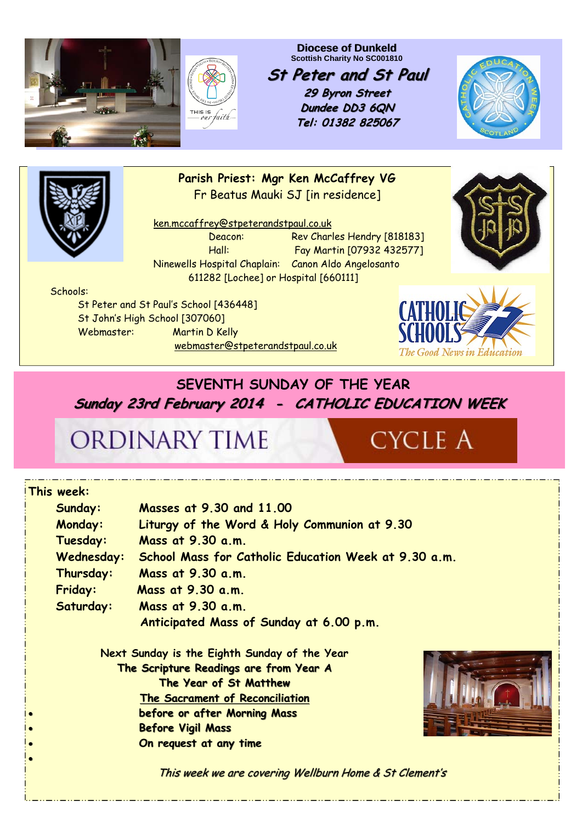

**Diocese of Dunkeld Scottish Charity No SC001810** 

**St Peter and St Paul St Peter and St Paul**

**29 Byron Street 29 Byron Street Dundee DD3 6QN Tel: 01382 825067**





**Parish Priest: Mgr Ken McCaffrey VG**  Fr Beatus Mauki SJ [in residence]

 ken.mccaffrey@stpeterandstpaul.co.uk Deacon: Rev Charles Hendry [818183] Hall: Fay Martin [07932 432577] Ninewells Hospital Chaplain: Canon Aldo Angelosanto 611282 [Lochee] or Hospital [660111]



Schools:

 St Peter and St Paul's School [436448] St John's High School [307060] Webmaster: Martin D Kelly webmaster@stpeterandstpaul.co.uk



### **SEVENTH SUNDAY OF THE YEAR Sunday 23rd February 2014 - CATHOLIC EDUCATION WEEK**

## ORDINARY TIME

# **CYCLE A**

| This week:                                   |                                                        |
|----------------------------------------------|--------------------------------------------------------|
| Sunday:                                      | Masses at 9.30 and 11.00                               |
| <b>Monday:</b>                               | Liturgy of the Word & Holy Communion at 9.30           |
| Tuesday:                                     | Mass at 9.30 a.m.                                      |
| Wednesday:                                   | School Mass for Catholic Education Week at 9.30 a.m.   |
| Thursday:                                    | Mass at 9.30 a.m.                                      |
| <b>Friday:</b>                               | Mass at 9.30 a.m.                                      |
| Saturday:                                    | Mass at 9.30 a.m.                                      |
|                                              | Anticipated Mass of Sunday at 6.00 p.m.                |
| Next Sunday is the Eighth Sunday of the Year |                                                        |
| The Scripture Readings are from Year A       |                                                        |
|                                              | The Year of St Matthew                                 |
|                                              | <b>The Sacrament of Reconciliation</b>                 |
|                                              | before or after Morning Mass                           |
|                                              | <b>Before Vigil Mass</b>                               |
|                                              | On request at any time                                 |
|                                              |                                                        |
|                                              | This week we are covering Wellburn Home & St Clement's |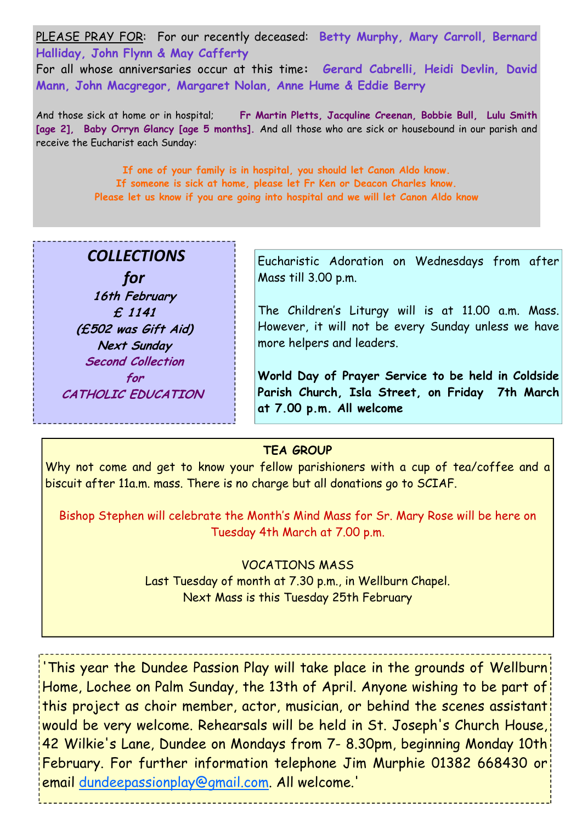PLEASE PRAY FOR: For our recently deceased: **Betty Murphy, Mary Carroll, Bernard Halliday, John Flynn & May Cafferty**  For all whose anniversaries occur at this time**: Gerard Cabrelli, Heidi Devlin, David Mann, John Macgregor, Margaret Nolan, Anne Hume & Eddie Berry** 

And those sick at home or in hospital; **Fr Martin Pletts, Jacquline Creenan, Bobbie Bull, Lulu Smith [age 2], Baby Orryn Glancy [age 5 months].** And all those who are sick or housebound in our parish and receive the Eucharist each Sunday:

> **If one of your family is in hospital, you should let Canon Aldo know. If someone is sick at home, please let Fr Ken or Deacon Charles know. Please let us know if you are going into hospital and we will let Canon Aldo know**

### *COLLECTIONS*

*for* **16th February £ 1141 (£502 was Gift Aid) Next Sunday Second Collection for CATHOLIC EDUCATION**  Eucharistic Adoration on Wednesdays from after Mass till 3.00 p.m.

The Children's Liturgy will is at 11.00 a.m. Mass. However, it will not be every Sunday unless we have more helpers and leaders.

**World Day of Prayer Service to be held in Coldside Parish Church, Isla Street, on Friday 7th March at 7.00 p.m. All welcome** 

#### **TEA GROUP**

Why not come and get to know your fellow parishioners with a cup of tea/coffee and a biscuit after 11a.m. mass. There is no charge but all donations go to SCIAF.

Bishop Stephen will celebrate the Month's Mind Mass for Sr. Mary Rose will be here on Tuesday 4th March at 7.00 p.m.

> VOCATIONS MASS Last Tuesday of month at 7.30 p.m., in Wellburn Chapel. Next Mass is this Tuesday 25th February

'This year the Dundee Passion Play will take place in the grounds of Wellburn Home, Lochee on Palm Sunday, the 13th of April. Anyone wishing to be part of this project as choir member, actor, musician, or behind the scenes assistant would be very welcome. Rehearsals will be held in St. Joseph's Church House, 42 Wilkie's Lane, Dundee on Mondays from 7- 8.30pm, beginning Monday 10th February. For further information telephone Jim Murphie 01382 668430 or email dundeepassionplay@gmail.com. All welcome.'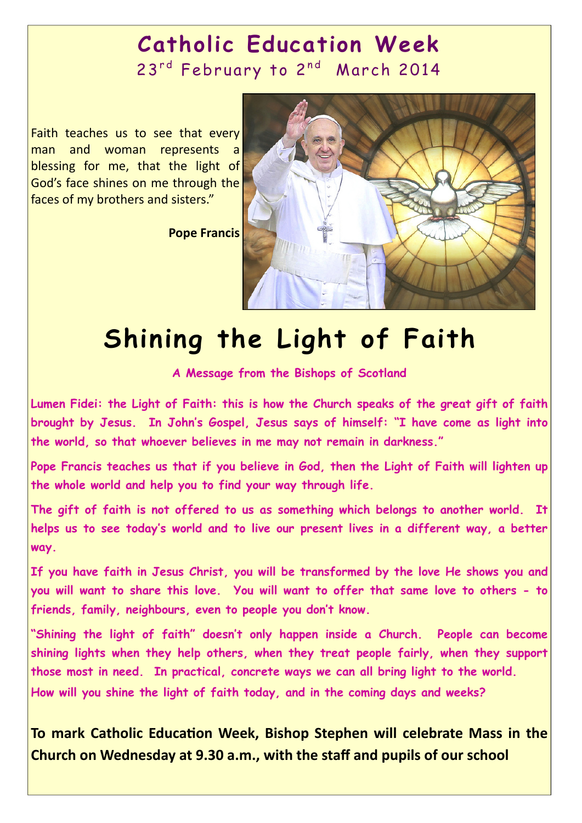## **Catholic Education Week**  23<sup>rd</sup> February to 2<sup>nd</sup> March 2014

Faith teaches us to see that every man and woman represents a blessing for me, that the light of God's face shines on me through the faces of my brothers and sisters."

**Pope Francis**



# **Shining the Light of Faith**

### **A Message from the Bishops of Scotland**

**Lumen Fidei: the Light of Faith: this is how the Church speaks of the great gift of faith brought by Jesus. In John's Gospel, Jesus says of himself: "I have come as light into the world, so that whoever believes in me may not remain in darkness."** 

**Pope Francis teaches us that if you believe in God, then the Light of Faith will lighten up the whole world and help you to find your way through life.** 

**The gift of faith is not offered to us as something which belongs to another world. It helps us to see today's world and to live our present lives in a different way, a better way.** 

**If you have faith in Jesus Christ, you will be transformed by the love He shows you and you will want to share this love. You will want to offer that same love to others - to friends, family, neighbours, even to people you don't know.** 

**"Shining the light of faith" doesn't only happen inside a Church. People can become shining lights when they help others, when they treat people fairly, when they support those most in need. In practical, concrete ways we can all bring light to the world. How will you shine the light of faith today, and in the coming days and weeks?** 

**To mark Catholic EducaƟon Week, Bishop Stephen will celebrate Mass in the Church on Wednesday at 9.30 a.m., with the staff and pupils of our school**